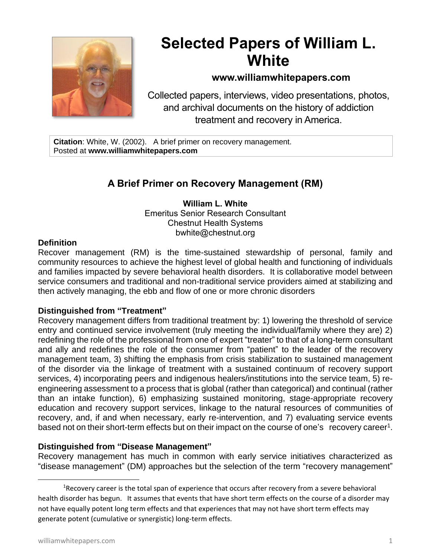

# **Selected Papers of William L. White**

# **www.williamwhitepapers.com**

Collected papers, interviews, video presentations, photos, and archival documents on the history of addiction treatment and recovery in America.

**Citation**: White, W. (2002). A brief primer on recovery management. Posted at **www.williamwhitepapers.com**

# **A Brief Primer on Recovery Management (RM)**

**William L. White** Emeritus Senior Research Consultant Chestnut Health Systems bwhite@chestnut.org

### **Definition**

Recover management (RM) is the time-sustained stewardship of personal, family and community resources to achieve the highest level of global health and functioning of individuals and families impacted by severe behavioral health disorders. It is collaborative model between service consumers and traditional and non-traditional service providers aimed at stabilizing and then actively managing, the ebb and flow of one or more chronic disorders

# **Distinguished from "Treatment"**

Recovery management differs from traditional treatment by: 1) lowering the threshold of service entry and continued service involvement (truly meeting the individual/family where they are) 2) redefining the role of the professional from one of expert "treater" to that of a long-term consultant and ally and redefines the role of the consumer from "patient" to the leader of the recovery management team, 3) shifting the emphasis from crisis stabilization to sustained management of the disorder via the linkage of treatment with a sustained continuum of recovery support services, 4) incorporating peers and indigenous healers/institutions into the service team, 5) reengineering assessment to a process that is global (rather than categorical) and continual (rather than an intake function), 6) emphasizing sustained monitoring, stage-appropriate recovery education and recovery support services, linkage to the natural resources of communities of recovery, and, if and when necessary, early re-intervention, and 7) evaluating service events based not on their short-term effects but on their impact on the course of one's recovery career<sup>1</sup>.

# **Distinguished from "Disease Management"**

Recovery management has much in common with early service initiatives characterized as "disease management" (DM) approaches but the selection of the term "recovery management"

 $1$ Recovery career is the total span of experience that occurs after recovery from a severe behavioral health disorder has begun. It assumes that events that have short term effects on the course of a disorder may not have equally potent long term effects and that experiences that may not have short term effects may generate potent (cumulative or synergistic) long-term effects.